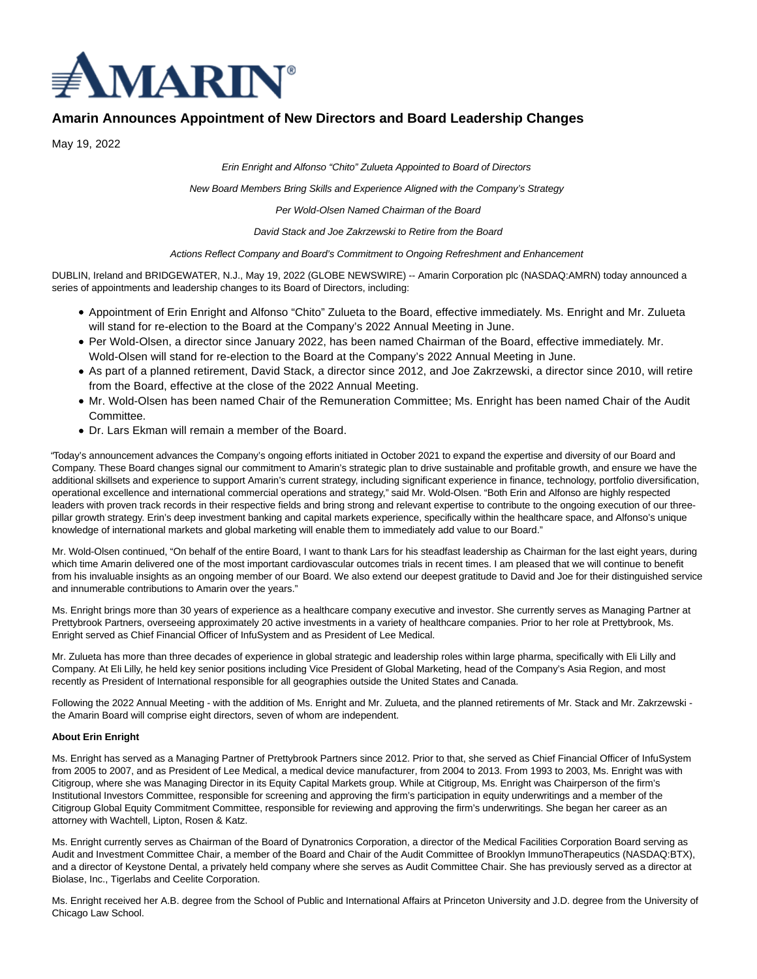

# **Amarin Announces Appointment of New Directors and Board Leadership Changes**

May 19, 2022

Erin Enright and Alfonso "Chito" Zulueta Appointed to Board of Directors

New Board Members Bring Skills and Experience Aligned with the Company's Strategy

Per Wold-Olsen Named Chairman of the Board

David Stack and Joe Zakrzewski to Retire from the Board

Actions Reflect Company and Board's Commitment to Ongoing Refreshment and Enhancement

DUBLIN, Ireland and BRIDGEWATER, N.J., May 19, 2022 (GLOBE NEWSWIRE) -- Amarin Corporation plc (NASDAQ:AMRN) today announced a series of appointments and leadership changes to its Board of Directors, including:

- Appointment of Erin Enright and Alfonso "Chito" Zulueta to the Board, effective immediately. Ms. Enright and Mr. Zulueta will stand for re-election to the Board at the Company's 2022 Annual Meeting in June.
- Per Wold-Olsen, a director since January 2022, has been named Chairman of the Board, effective immediately. Mr. Wold-Olsen will stand for re-election to the Board at the Company's 2022 Annual Meeting in June.
- As part of a planned retirement, David Stack, a director since 2012, and Joe Zakrzewski, a director since 2010, will retire from the Board, effective at the close of the 2022 Annual Meeting.
- Mr. Wold-Olsen has been named Chair of the Remuneration Committee; Ms. Enright has been named Chair of the Audit Committee.
- Dr. Lars Ekman will remain a member of the Board.

"Today's announcement advances the Company's ongoing efforts initiated in October 2021 to expand the expertise and diversity of our Board and Company. These Board changes signal our commitment to Amarin's strategic plan to drive sustainable and profitable growth, and ensure we have the additional skillsets and experience to support Amarin's current strategy, including significant experience in finance, technology, portfolio diversification, operational excellence and international commercial operations and strategy," said Mr. Wold-Olsen. "Both Erin and Alfonso are highly respected leaders with proven track records in their respective fields and bring strong and relevant expertise to contribute to the ongoing execution of our threepillar growth strategy. Erin's deep investment banking and capital markets experience, specifically within the healthcare space, and Alfonso's unique knowledge of international markets and global marketing will enable them to immediately add value to our Board."

Mr. Wold-Olsen continued, "On behalf of the entire Board, I want to thank Lars for his steadfast leadership as Chairman for the last eight years, during which time Amarin delivered one of the most important cardiovascular outcomes trials in recent times. I am pleased that we will continue to benefit from his invaluable insights as an ongoing member of our Board. We also extend our deepest gratitude to David and Joe for their distinguished service and innumerable contributions to Amarin over the years."

Ms. Enright brings more than 30 years of experience as a healthcare company executive and investor. She currently serves as Managing Partner at Prettybrook Partners, overseeing approximately 20 active investments in a variety of healthcare companies. Prior to her role at Prettybrook, Ms. Enright served as Chief Financial Officer of InfuSystem and as President of Lee Medical.

Mr. Zulueta has more than three decades of experience in global strategic and leadership roles within large pharma, specifically with Eli Lilly and Company. At Eli Lilly, he held key senior positions including Vice President of Global Marketing, head of the Company's Asia Region, and most recently as President of International responsible for all geographies outside the United States and Canada.

Following the 2022 Annual Meeting - with the addition of Ms. Enright and Mr. Zulueta, and the planned retirements of Mr. Stack and Mr. Zakrzewski the Amarin Board will comprise eight directors, seven of whom are independent.

# **About Erin Enright**

Ms. Enright has served as a Managing Partner of Prettybrook Partners since 2012. Prior to that, she served as Chief Financial Officer of InfuSystem from 2005 to 2007, and as President of Lee Medical, a medical device manufacturer, from 2004 to 2013. From 1993 to 2003, Ms. Enright was with Citigroup, where she was Managing Director in its Equity Capital Markets group. While at Citigroup, Ms. Enright was Chairperson of the firm's Institutional Investors Committee, responsible for screening and approving the firm's participation in equity underwritings and a member of the Citigroup Global Equity Commitment Committee, responsible for reviewing and approving the firm's underwritings. She began her career as an attorney with Wachtell, Lipton, Rosen & Katz.

Ms. Enright currently serves as Chairman of the Board of Dynatronics Corporation, a director of the Medical Facilities Corporation Board serving as Audit and Investment Committee Chair, a member of the Board and Chair of the Audit Committee of Brooklyn ImmunoTherapeutics (NASDAQ:BTX), and a director of Keystone Dental, a privately held company where she serves as Audit Committee Chair. She has previously served as a director at Biolase, Inc., Tigerlabs and Ceelite Corporation.

Ms. Enright received her A.B. degree from the School of Public and International Affairs at Princeton University and J.D. degree from the University of Chicago Law School.